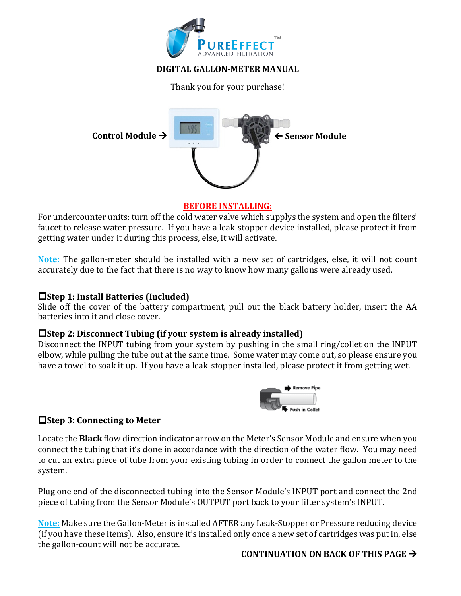

## **DIGITAL GALLON-METER MANUAL**

Thank you for your purchase!



### **BEFORE INSTALLING:**

For undercounter units: turn off the cold water valve which supplys the system and open the filters' faucet to release water pressure. If you have a leak-stopper device installed, please protect it from getting water under it during this process, else, it will activate.

**Note:** The gallon-meter should be installed with a new set of cartridges, else, it will not count accurately due to the fact that there is no way to know how many gallons were already used.

### **□Step 1: Install Batteries (Included)**

Slide off the cover of the battery compartment, pull out the black battery holder, insert the AA batteries into it and close cover.

### $\Box$  Step 2: Disconnect Tubing (if your system is already installed)

Disconnect the INPUT tubing from your system by pushing in the small ring/collet on the INPUT elbow, while pulling the tube out at the same time. Some water may come out, so please ensure you have a towel to soak it up. If you have a leak-stopper installed, please protect it from getting wet.



## $\Box$  Step 3: Connecting to Meter

Locate the **Black** flow direction indicator arrow on the Meter's Sensor Module and ensure when you connect the tubing that it's done in accordance with the direction of the water flow. You may need to cut an extra piece of tube from your existing tubing in order to connect the gallon meter to the system.

Plug one end of the disconnected tubing into the Sensor Module's INPUT port and connect the 2nd piece of tubing from the Sensor Module's OUTPUT port back to your filter system's INPUT.

**Note:** Make sure the Gallon-Meter is installed AFTER any Leak-Stopper or Pressure reducing device (if you have these items). Also, ensure it's installed only once a new set of cartridges was put in, else the gallon-count will not be accurate.

## **CONTINUATION ON BACK OF THIS PAGE**  $\rightarrow$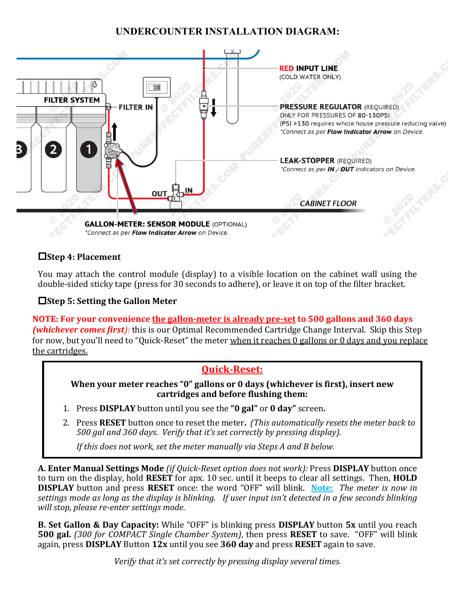# **UNDERCOUNTER INSTALLATION DIAGRAM:**



# o**Step 4: Placement**

You mav attach the control module (display) to a visible location on the cabinet wall using the double-sided sticky tape (press for 30 seconds to adhere), or leave it on top of the filter bracket.

# $\Box$  Step 5: Setting the Gallon Meter

**NOTE:** For your convenience the gallon-meter is already pre-set to 500 gallons and 360 days *(whichever comes first):* this is our Optimal Recommended Cartridge Change Interval. Skip this Step for now, but you'll need to "Quick-Reset" the meter when it reaches  $0$  gallons or  $0$  days and you replace the cartridges.

# **Quick-Reset:**

**When your meter reaches "0" gallons or 0 days (whichever is first), insert new cartridges and before flushing them:**

- 1. Press DISPLAY button until you see the "0 gal" or 0 day" screen.
- 2. Press **RESET** button once to reset the meter. (This automatically resets the meter back to *500 gal and 360 days. Verify that it's set correctly by pressing display).*

*If* this does not work, set the meter manually via Steps A and B below.

A. Enter Manual Settings Mode *(if Quick-Reset option does not work):* Press DISPLAY button once to turn on the display, hold **RESET** for apx. 10 sec. until it beeps to clear all settings. Then, **HOLD DISPLAY** button and press **RESET** once: the word "OFF" will blink. **Note:** The meter is now in *settings* mode as long as the display is blinking. If user input isn't detected in a few seconds blinking *will stop, please re-enter settings mode.*

**B.** Set Gallon & Day Capacity: While "OFF" is blinking press DISPLAY button 5x until you reach **500 gal.** *(300 for COMPACT Single Chamber System)*, then press **RESET** to save. "OFF" will blink again, press **DISPLAY** Button 12x until you see 360 day and press RESET again to save.

*Verify* that it's set correctly by pressing display several times.